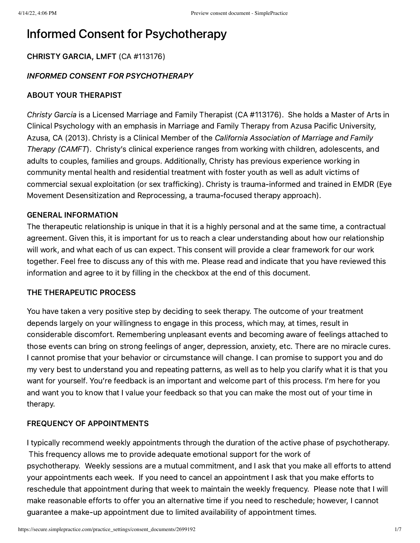# Informed Consent for Psychotherapy

# CHRISTY GARCIA, LMFT (CA #113176)

# INFORMED CONSENT FOR PSYCHOTHERAPY

# ABOUT YOUR THERAPIST

Christy Garcia is a Licensed Marriage and Family Therapist (CA #113176). She holds a Master of Arts in Clinical Psychology with an emphasis in Marriage and Family Therapy from Azusa Pacific University, Azusa, CA (2013). Christy is a Clinical Member of the California Association of Marriage and Family Therapy (CAMFT). Christy's clinical experience ranges from working with children, adolescents, and adults to couples, families and groups. Additionally, Christy has previous experience working in community mental health and residential treatment with foster youth as well as adult victims of commercial sexual exploitation (or sex trafficking). Christy is trauma-informed and trained in EMDR (Eye Movement Desensitization and Reprocessing, a trauma-focused therapy approach).

#### GENERAL INFORMATION

The therapeutic relationship is unique in that it is a highly personal and at the same time, a contractual agreement. Given this, it is important for us to reach a clear understanding about how our relationship will work, and what each of us can expect. This consent will provide a clear framework for our work together. Feel free to discuss any of this with me. Please read and indicate that you have reviewed this information and agree to it by filling in the checkbox at the end of this document.

# THE THERAPEUTIC PROCESS

You have taken a very positive step by deciding to seek therapy. The outcome of your treatment depends largely on your willingness to engage in this process, which may, at times, result in considerable discomfort. Remembering unpleasant events and becoming aware of feelings attached to those events can bring on strong feelings of anger, depression, anxiety, etc. There are no miracle cures. I cannot promise that your behavior or circumstance will change. I can promise to support you and do my very best to understand you and repeating patterns, as well as to help you clarify what it is that you want for yourself. You're feedback is an important and welcome part of this process. I'm here for you and want you to know that I value your feedback so that you can make the most out of your time in therapy.

# FREQUENCY OF APPOINTMENTS

I typically recommend weekly appointments through the duration of the active phase of psychotherapy. This frequency allows me to provide adequate emotional support for the work of psychotherapy. Weekly sessions are a mutual commitment, and I ask that you make all efforts to attend your appointments each week. If you need to cancel an appointment I ask that you make efforts to reschedule that appointment during that week to maintain the weekly frequency. Please note that I will make reasonable efforts to offer you an alternative time if you need to reschedule; however, I cannot guarantee a make-up appointment due to limited availability of appointment times.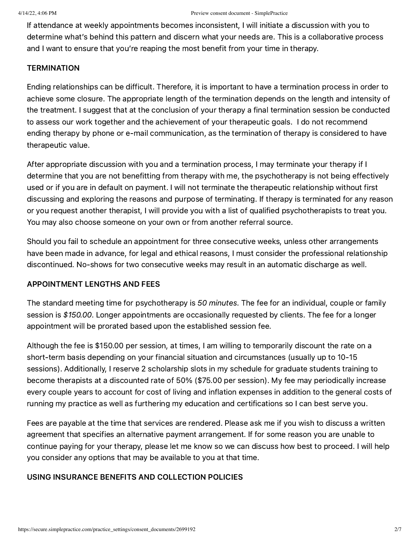If attendance at weekly appointments becomes inconsistent, I will initiate a discussion with you to determine what's behind this pattern and discern what your needs are. This is a collaborative process and I want to ensure that you're reaping the most benefit from your time in therapy.

#### **TERMINATION**

Ending relationships can be difficult. Therefore, it is important to have a termination process in order to achieve some closure. The appropriate length of the termination depends on the length and intensity of the treatment. I suggest that at the conclusion of your therapy a final termination session be conducted to assess our work together and the achievement of your therapeutic goals. I do not recommend ending therapy by phone or e-mail communication, as the termination of therapy is considered to have therapeutic value.

After appropriate discussion with you and a termination process, I may terminate your therapy if I determine that you are not benefitting from therapy with me, the psychotherapy is not being effectively used or if you are in default on payment. I will not terminate the therapeutic relationship without first discussing and exploring the reasons and purpose of terminating. If therapy is terminated for any reason or you request another therapist, I will provide you with a list of qualified psychotherapists to treat you. You may also choose someone on your own or from another referral source.

Should you fail to schedule an appointment for three consecutive weeks, unless other arrangements have been made in advance, for legal and ethical reasons, I must consider the professional relationship discontinued. No-shows for two consecutive weeks may result in an automatic discharge as well.

# APPOINTMENT LENGTHS AND FEES

The standard meeting time for psychotherapy is 50 minutes. The fee for an individual, couple or family session is \$150.00. Longer appointments are occasionally requested by clients. The fee for a longer appointment will be prorated based upon the established session fee.

Although the fee is \$150.00 per session, at times, I am willing to temporarily discount the rate on a short-term basis depending on your financial situation and circumstances (usually up to 10-15 sessions). Additionally, I reserve 2 scholarship slots in my schedule for graduate students training to become therapists at a discounted rate of 50% (\$75.00 per session). My fee may periodically increase every couple years to account for cost of living and inflation expenses in addition to the general costs of running my practice as well as furthering my education and certifications so I can best serve you.

Fees are payable at the time that services are rendered. Please ask me if you wish to discuss a written agreement that specifies an alternative payment arrangement. If for some reason you are unable to continue paying for your therapy, please let me know so we can discuss how best to proceed. I will help you consider any options that may be available to you at that time.

# USING INSURANCE BENEFITS AND COLLECTION POLICIES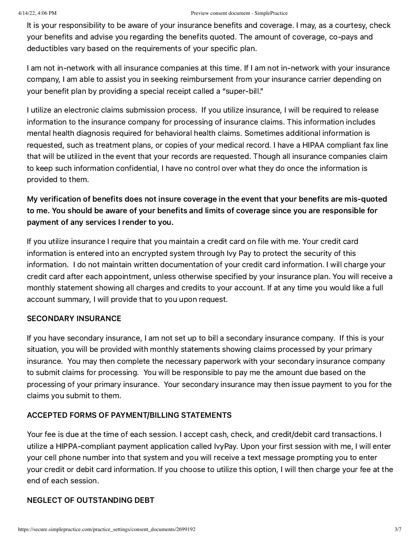It is your responsibility to be aware of your insurance benefits and coverage. I may, as a courtesy, check your benefits and advise you regarding the benefits quoted. The amount of coverage, co-pays and deductibles vary based on the requirements of your specific plan.

I am not in-network with all insurance companies at this time. If I am not in-network with your insurance company, I am able to assist you in seeking reimbursement from your insurance carrier depending on your benefit plan by providing a special receipt called a "super-bill."

I utilize an electronic claims submission process. If you utilize insurance, I will be required to release information to the insurance company for processing of insurance claims. This information includes mental health diagnosis required for behavioral health claims. Sometimes additional information is requested, such as treatment plans, or copies of your medical record. I have a HIPAA compliant fax line that will be utilized in the event that your records are requested. Though all insurance companies claim to keep such information confidential, I have no control over what they do once the information is provided to them.

# My verification of benefits does not insure coverage in the event that your benefits are mis-quoted to me. You should be aware of your benefits and limits of coverage since you are responsible for payment of any services I render to you.

If you utilize insurance I require that you maintain a credit card on file with me. Your credit card information is entered into an encrypted system through Ivy Pay to protect the security of this information. I do not maintain written documentation of your credit card information. I will charge your credit card after each appointment, unless otherwise specified by your insurance plan. You will receive a monthly statement showing all charges and credits to your account. If at any time you would like a full account summary, I will provide that to you upon request.

# SECONDARY INSURANCE

If you have secondary insurance, I am not set up to bill a secondary insurance company. If this is your situation, you will be provided with monthly statements showing claims processed by your primary insurance. You may then complete the necessary paperwork with your secondary insurance company to submit claims for processing. You will be responsible to pay me the amount due based on the processing of your primary insurance. Your secondary insurance may then issue payment to you for the claims you submit to them.

# ACCEPTED FORMS OF PAYMENT/BILLING STATEMENTS

Your fee is due at the time of each session. I accept cash, check, and credit/debit card transactions. I utilize a HIPPA-compliant payment application called IvyPay. Upon your first session with me, I will enter your cell phone number into that system and you will receive a text message prompting you to enter your credit or debit card information. If you choose to utilize this option, I will then charge your fee at the end of each session.

# NEGLECT OF OUTSTANDING DEBT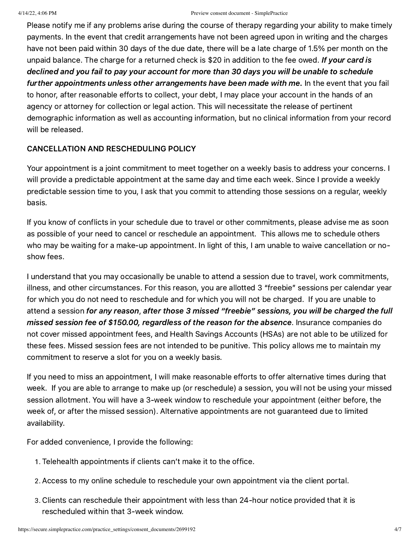Please notify me if any problems arise during the course of therapy regarding your ability to make timely payments. In the event that credit arrangements have not been agreed upon in writing and the charges have not been paid within 30 days of the due date, there will be a late charge of 1.5% per month on the unpaid balance. The charge for a returned check is \$20 in addition to the fee owed. If your card is declined and you fail to pay your account for more than 30 days you will be unable to schedule further appointments unless other arrangements have been made with me. In the event that you fail to honor, after reasonable efforts to collect, your debt, I may place your account in the hands of an agency or attorney for collection or legal action. This will necessitate the release of pertinent demographic information as well as accounting information, but no clinical information from your record will be released.

# CANCELLATION AND RESCHEDULING POLICY

Your appointment is a joint commitment to meet together on a weekly basis to address your concerns. I will provide a predictable appointment at the same day and time each week. Since I provide a weekly predictable session time to you, I ask that you commit to attending those sessions on a regular, weekly basis.

If you know of conflicts in your schedule due to travel or other commitments, please advise me as soon as possible of your need to cancel or reschedule an appointment. This allows me to schedule others who may be waiting for a make-up appointment. In light of this, I am unable to waive cancellation or noshow fees.

I understand that you may occasionally be unable to attend a session due to travel, work commitments, illness, and other circumstances. For this reason, you are allotted 3 "freebie" sessions per calendar year for which you do not need to reschedule and for which you will not be charged. If you are unable to attend a session for any reason, after those 3 missed "freebie" sessions, you will be charged the full missed session fee of \$150.00, regardless of the reason for the absence. Insurance companies do not cover missed appointment fees, and Health Savings Accounts (HSAs) are not able to be utilized for these fees. Missed session fees are not intended to be punitive. This policy allows me to maintain my commitment to reserve a slot for you on a weekly basis.

If you need to miss an appointment, I will make reasonable efforts to offer alternative times during that week. If you are able to arrange to make up (or reschedule) a session, you will not be using your missed session allotment. You will have a 3-week window to reschedule your appointment (either before, the week of, or after the missed session). Alternative appointments are not guaranteed due to limited availability.

For added convenience, I provide the following:

- . Telehealth appointments if clients can't make it to the office.
- . Access to my online schedule to reschedule your own appointment via the client portal.
- . Clients can reschedule their appointment with less than 24-hour notice provided that it is rescheduled within that 3-week window.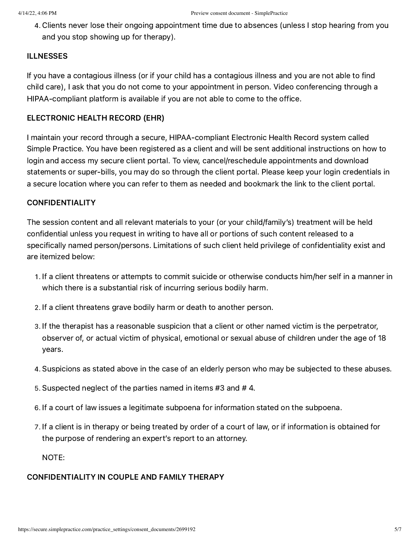. Clients never lose their ongoing appointment time due to absences (unless I stop hearing from you and you stop showing up for therapy).

#### ILLNESSES

If you have a contagious illness (or if your child has a contagious illness and you are not able to find child care), I ask that you do not come to your appointment in person. Video conferencing through a HIPAA-compliant platform is available if you are not able to come to the office.

#### ELECTRONIC HEALTH RECORD (EHR)

I maintain your record through a secure, HIPAA-compliant Electronic Health Record system called Simple Practice. You have been registered as a client and will be sent additional instructions on how to login and access my secure client portal. To view, cancel/reschedule appointments and download statements or super-bills, you may do so through the client portal. Please keep your login credentials in a secure location where you can refer to them as needed and bookmark the link to the client portal.

#### CONFIDENTIALITY

The session content and all relevant materials to your (or your child/family's) treatment will be held confidential unless you request in writing to have all or portions of such content released to a specifically named person/persons. Limitations of such client held privilege of confidentiality exist and are itemized below:

- . If a client threatens or attempts to commit suicide or otherwise conducts him/her self in a manner in which there is a substantial risk of incurring serious bodily harm.
- . If a client threatens grave bodily harm or death to another person.
- . If the therapist has a reasonable suspicion that a client or other named victim is the perpetrator, observer of, or actual victim of physical, emotional or sexual abuse of children under the age of 18 years.
- . Suspicions as stated above in the case of an elderly person who may be subjected to these abuses.
- . Suspected neglect of the parties named in items #3 and # 4.
- . If a court of law issues a legitimate subpoena for information stated on the subpoena.
- . If a client is in therapy or being treated by order of a court of law, or if information is obtained for the purpose of rendering an expert's report to an attorney.

NOTE:

#### CONFIDENTIALITY IN COUPLE AND FAMILY THERAPY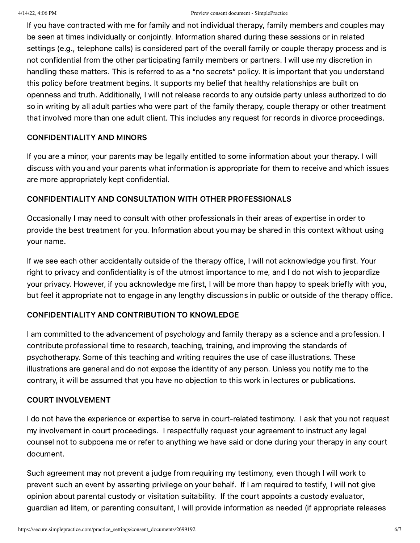If you have contracted with me for family and not individual therapy, family members and couples may be seen at times individually or conjointly. Information shared during these sessions or in related settings (e.g., telephone calls) is considered part of the overall family or couple therapy process and is not confidential from the other participating family members or partners. I will use my discretion in handling these matters. This is referred to as a "no secrets" policy. It is important that you understand this policy before treatment begins. It supports my belief that healthy relationships are built on openness and truth. Additionally, I will not release records to any outside party unless authorized to do so in writing by all adult parties who were part of the family therapy, couple therapy or other treatment that involved more than one adult client. This includes any request for records in divorce proceedings.

# CONFIDENTIALITY AND MINORS

If you are a minor, your parents may be legally entitled to some information about your therapy. I will discuss with you and your parents what information is appropriate for them to receive and which issues are more appropriately kept confidential.

# CONFIDENTIALITY AND CONSULTATION WITH OTHER PROFESSIONALS

Occasionally I may need to consult with other professionals in their areas of expertise in order to provide the best treatment for you. Information about you may be shared in this context without using your name.

If we see each other accidentally outside of the therapy office, I will not acknowledge you first. Your right to privacy and confidentiality is of the utmost importance to me, and I do not wish to jeopardize your privacy. However, if you acknowledge me first, I will be more than happy to speak briefly with you, but feel it appropriate not to engage in any lengthy discussions in public or outside of the therapy office.

# CONFIDENTIALITY AND CONTRIBUTION TO KNOWLEDGE

I am committed to the advancement of psychology and family therapy as a science and a profession. I contribute professional time to research, teaching, training, and improving the standards of psychotherapy. Some of this teaching and writing requires the use of case illustrations. These illustrations are general and do not expose the identity of any person. Unless you notify me to the contrary, it will be assumed that you have no objection to this work in lectures or publications.

# COURT INVOLVEMENT

I do not have the experience or expertise to serve in court-related testimony. I ask that you not request my involvement in court proceedings. I respectfully request your agreement to instruct any legal counsel not to subpoena me or refer to anything we have said or done during your therapy in any court document.

Such agreement may not prevent a judge from requiring my testimony, even though I will work to prevent such an event by asserting privilege on your behalf. If I am required to testify, I will not give opinion about parental custody or visitation suitability. If the court appoints a custody evaluator, guardian ad litem, or parenting consultant, I will provide information as needed (if appropriate releases